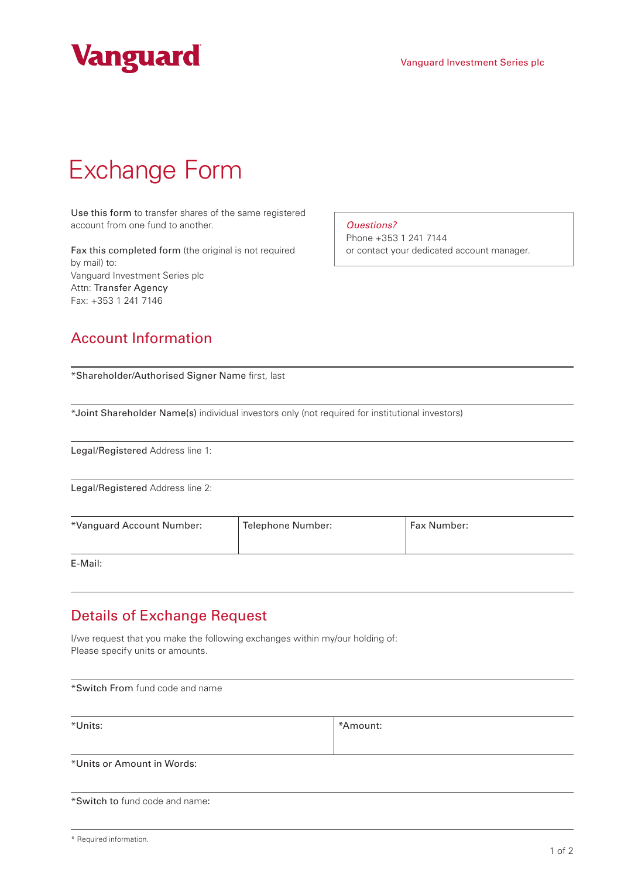

## Exchange Form

Use this form to transfer shares of the same registered account from one fund to another.

Fax this completed form (the original is not required by mail) to: Vanguard Investment Series plc Attn: Transfer Agency Fax: +353 1 241 7146

*Questions?*

Phone +353 1 241 7144 or contact your dedicated account manager.

## Account Information

| *Shareholder/Authorised Signer Name first, last                                                 |                          |             |  |  |
|-------------------------------------------------------------------------------------------------|--------------------------|-------------|--|--|
| *Joint Shareholder Name(s) individual investors only (not required for institutional investors) |                          |             |  |  |
| Legal/Registered Address line 1:                                                                |                          |             |  |  |
| Legal/Registered Address line 2:                                                                |                          |             |  |  |
| *Vanguard Account Number:                                                                       | <b>Telephone Number:</b> | Fax Number: |  |  |
| $\Gamma$ $\Lambda$ $\Lambda$ $\sim$ $\cdot$ $\Lambda$ .                                         |                          |             |  |  |

E-Mail:

## Details of Exchange Request

I/we request that you make the following exchanges within my/our holding of: Please specify units or amounts.

\*Switch From fund code and name \*Units:  $\qquad \qquad$  \*Amount: \*Units or Amount in Words:

\*Switch to fund code and name:

|  |  | * Required information. |
|--|--|-------------------------|
|--|--|-------------------------|